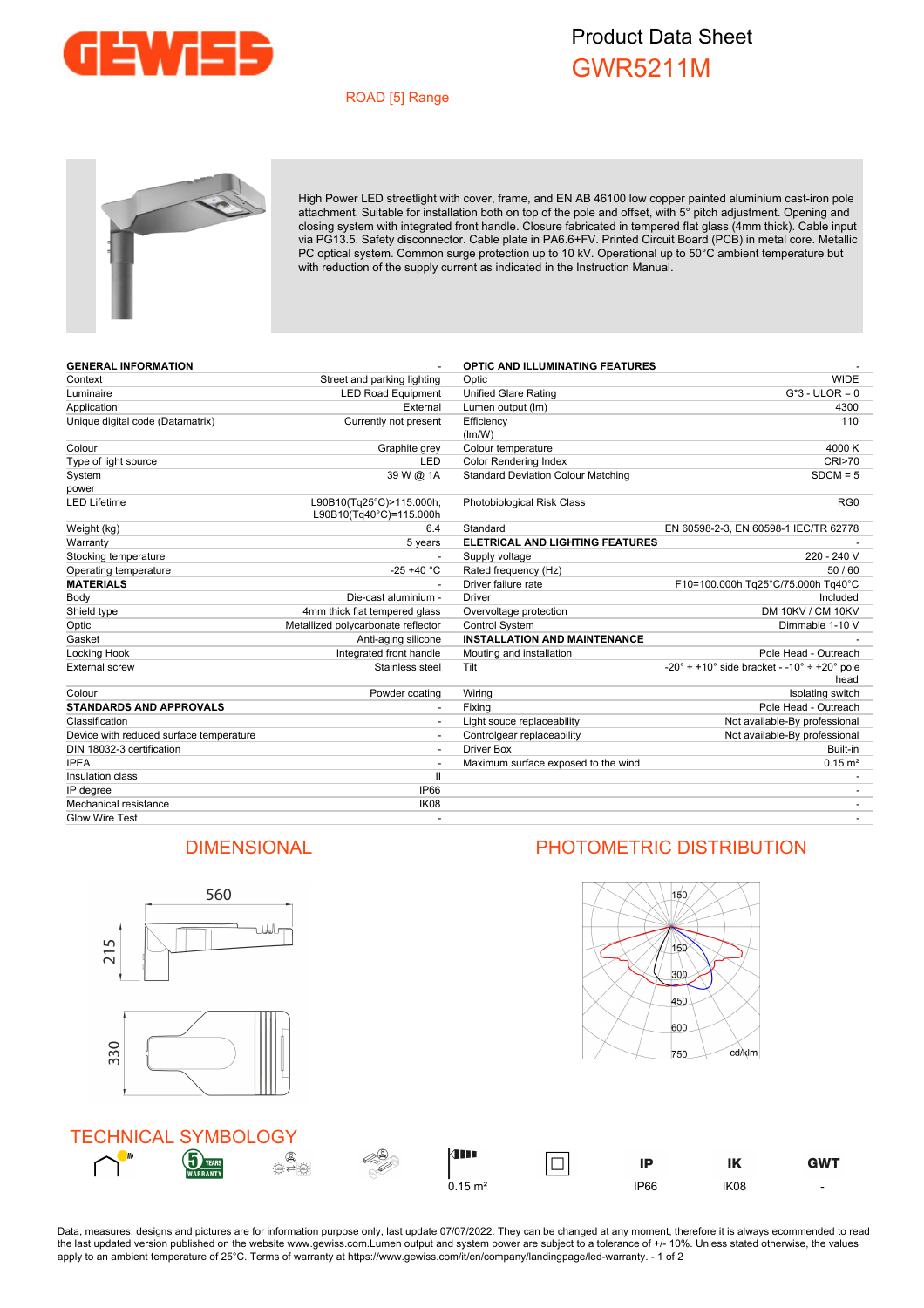

## Product Data Sheet GWR5211M

### ROAD [5] Range



High Power LED streetlight with cover, frame, and EN AB 46100 low copper painted aluminium cast-iron pole attachment. Suitable for installation both on top of the pole and offset, with 5° pitch adjustment. Opening and closing system with integrated front handle. Closure fabricated in tempered flat glass (4mm thick). Cable input via PG13.5. Safety disconnector. Cable plate in PA6.6+FV. Printed Circuit Board (PCB) in metal core. Metallic PC optical system. Common surge protection up to 10 kV. Operational up to 50°C ambient temperature but with reduction of the supply current as indicated in the Instruction Manual.

| <b>GENERAL INFORMATION</b>              |                                                     | <b>OPTIC AND ILLUMINATING FEATURES</b>    |                                                              |
|-----------------------------------------|-----------------------------------------------------|-------------------------------------------|--------------------------------------------------------------|
| Context                                 | Street and parking lighting                         | Optic                                     | <b>WIDE</b>                                                  |
| Luminaire                               | <b>LED Road Equipment</b>                           | <b>Unified Glare Rating</b>               | $G*3$ - ULOR = 0                                             |
| Application                             | External                                            | Lumen output (Im)                         | 4300                                                         |
| Unique digital code (Datamatrix)        | Currently not present                               | Efficiency<br>(lm/W)                      | 110                                                          |
| Colour                                  | Graphite grey                                       | Colour temperature                        | 4000 K                                                       |
| Type of light source                    | LED                                                 | <b>Color Rendering Index</b>              | <b>CRI&gt;70</b>                                             |
| System                                  | 39 W @ 1A                                           | <b>Standard Deviation Colour Matching</b> | $SDCM = 5$                                                   |
| power                                   |                                                     |                                           |                                                              |
| <b>LED Lifetime</b>                     | L90B10(Tq25°C)>115.000h;<br>L90B10(Tq40°C)=115.000h | Photobiological Risk Class                | RG <sub>0</sub>                                              |
| Weight (kg)                             | 6.4                                                 | Standard                                  | EN 60598-2-3, EN 60598-1 IEC/TR 62778                        |
| Warranty                                | 5 years                                             | <b>ELETRICAL AND LIGHTING FEATURES</b>    |                                                              |
| Stocking temperature                    |                                                     | Supply voltage                            | 220 - 240 V                                                  |
| Operating temperature                   | $-25 + 40 °C$                                       | Rated frequency (Hz)                      | 50/60                                                        |
| <b>MATERIALS</b>                        |                                                     | Driver failure rate                       | F10=100.000h Tq25°C/75.000h Tq40°C                           |
| Body                                    | Die-cast aluminium -                                | <b>Driver</b>                             | Included                                                     |
| Shield type                             | 4mm thick flat tempered glass                       | Overvoltage protection                    | DM 10KV / CM 10KV                                            |
| Optic                                   | Metallized polycarbonate reflector                  | Control System                            | Dimmable 1-10 V                                              |
| Gasket                                  | Anti-aging silicone                                 | <b>INSTALLATION AND MAINTENANCE</b>       |                                                              |
| Locking Hook                            | Integrated front handle                             | Mouting and installation                  | Pole Head - Outreach                                         |
| <b>External screw</b>                   | Stainless steel                                     | Tilt                                      | $-20^{\circ}$ ÷ +10° side bracket - -10° ÷ +20° pole<br>head |
| Colour                                  | Powder coating                                      | Wiring                                    | Isolating switch                                             |
| <b>STANDARDS AND APPROVALS</b>          | $\overline{\phantom{a}}$                            | Fixing                                    | Pole Head - Outreach                                         |
| Classification                          | $\overline{\phantom{a}}$                            | Light souce replaceability                | Not available-By professional                                |
| Device with reduced surface temperature |                                                     | Controlgear replaceability                | Not available-By professional                                |
| DIN 18032-3 certification               |                                                     | <b>Driver Box</b>                         | Built-in                                                     |
| <b>IPEA</b>                             | $\overline{\phantom{a}}$                            | Maximum surface exposed to the wind       | $0.15 \text{ m}^2$                                           |
| Insulation class                        | $\mathbf{H}$                                        |                                           |                                                              |
| IP degree                               | IP66                                                |                                           |                                                              |
| Mechanical resistance                   | IK08                                                |                                           |                                                              |

# $SDCM = 5$ EN 60598-2-3, EN 60598-1 IEC/TR 62778 **MATERIALS** - Driver failure rate F10=100.000h Tq25°C/75.000h Tq40°C DM 10KV / CM 10KV Dimmable 1-10 V Pole Head - Outreach  $-20^\circ \div +10^\circ$  side bracket -  $-10^\circ \div +20^\circ$  pole head Pole Head - Outreach Not available-By professional Not available-By professional



Glow Wire Test - -

Data, measures, designs and pictures are for information purpose only, last update 07/07/2022. They can be changed at any moment, therefore it is always ecommended to read the last updated version published on the website www.gewiss.com.Lumen output and system power are subject to a tolerance of +/- 10%. Unless stated otherwise, the values apply to an ambient temperature of 25°C. Terms of warranty at https://www.gewiss.com/it/en/company/landingpage/led-warranty. - 1 of 2

## DIMENSIONAL PHOTOMETRIC DISTRIBUTION